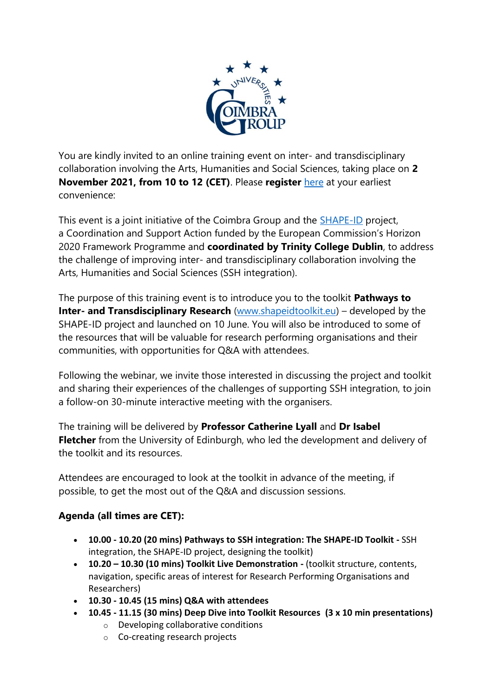

You are kindly invited to an online training event on inter- and transdisciplinary collaboration involving the Arts, Humanities and Social Sciences, taking place on **2 November 2021, from 10 to 12 (CET)**. Please **register** [here](https://www.eventbrite.ie/e/shape-id-toolkit-training-coimbra-group-tickets-184721385637) at your earliest convenience:

This event is a joint initiative of the Coimbra Group and the [SHAPE-ID](https://www.shapeid.eu/) project, a Coordination and Support Action funded by the European Commission's Horizon 2020 Framework Programme and **coordinated by Trinity College Dublin**, to address the challenge of improving inter- and transdisciplinary collaboration involving the Arts, Humanities and Social Sciences (SSH integration).

The purpose of this training event is to introduce you to the toolkit **Pathways to Inter- and Transdisciplinary Research** [\(www.shapeidtoolkit.eu\)](http://www.shapeidtoolkit.eu/) – developed by the SHAPE-ID project and launched on 10 June. You will also be introduced to some of the resources that will be valuable for research performing organisations and their communities, with opportunities for Q&A with attendees.

Following the webinar, we invite those interested in discussing the project and toolkit and sharing their experiences of the challenges of supporting SSH integration, to join a follow-on 30-minute interactive meeting with the organisers.

The training will be delivered by **Professor Catherine Lyall** and **Dr Isabel Fletcher** from the University of Edinburgh, who led the development and delivery of the toolkit and its resources.

Attendees are encouraged to look at the toolkit in advance of the meeting, if possible, to get the most out of the Q&A and discussion sessions.

## **Agenda (all times are CET):**

- **10.00 - 10.20 (20 mins) Pathways to SSH integration: The SHAPE-ID Toolkit -** SSH integration, the SHAPE-ID project, designing the toolkit)
- **10.20 – 10.30 (10 mins) Toolkit Live Demonstration -** (toolkit structure, contents, navigation, specific areas of interest for Research Performing Organisations and Researchers)
- **10.30 - 10.45 (15 mins) Q&A with attendees**
- **10.45 - 11.15 (30 mins) Deep Dive into Toolkit Resources (3 x 10 min presentations)**
	- o Developing collaborative conditions
	- o Co-creating research projects